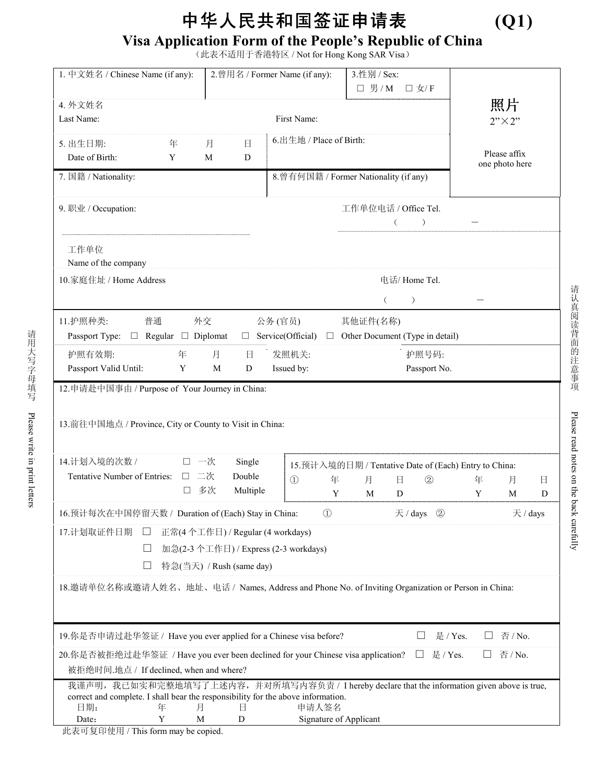## 中华人民共和国签证申请表 **(Q1)**

## **Visa Application Form of the People's Republic of China**

(此表不适用于香港特区 / Not for Hong Kong SAR Visa)

| 1. 中文姓名 / Chinese Name (if any):                                                                                                                                                                                                                                   | 3.性别 / Sex:<br>2.曾用名 / Former Name (if any):<br>□ 男/M □女/F |                             |               |                                                                                   |        |                                |
|--------------------------------------------------------------------------------------------------------------------------------------------------------------------------------------------------------------------------------------------------------------------|------------------------------------------------------------|-----------------------------|---------------|-----------------------------------------------------------------------------------|--------|--------------------------------|
| 4. 外文姓名<br>Last Name:<br>First Name:                                                                                                                                                                                                                               |                                                            |                             |               |                                                                                   |        | 照片<br>$2"$ $\times$ $2"$       |
| 年<br>5. 出生日期:<br>Date of Birth:<br>Y                                                                                                                                                                                                                               | 日<br>月<br>M<br>D                                           | 6.出生地 / Place of Birth:     |               |                                                                                   |        | Please affix<br>one photo here |
| 7. 国籍 / Nationality:                                                                                                                                                                                                                                               | 8. 曾有何国籍 / Former Nationality (if any)                     |                             |               |                                                                                   |        |                                |
| 9. 职业 / Occupation:                                                                                                                                                                                                                                                | 工作单位电话 / Office Tel.<br>$\rightarrow$<br>$\left($          |                             |               |                                                                                   |        |                                |
| 工作单位<br>Name of the company                                                                                                                                                                                                                                        |                                                            |                             |               |                                                                                   |        |                                |
| 10.家庭住址 / Home Address                                                                                                                                                                                                                                             |                                                            |                             | 电话/ Home Tel. |                                                                                   |        |                                |
| $\left($<br>$\mathcal{L}$<br>普通    外交      公务 (官员)     其他证件(名称)<br>11.护照种类:<br>Passport Type: $\Box$ Regular $\Box$ Diplomat $\Box$ Service(Official) $\Box$ Other Document (Type in detail)                                                                       |                                                            |                             |               |                                                                                   |        |                                |
| 护照有效期:<br>年 月<br>发照机关:<br>护照号码:<br>$\boxminus$<br>Passport Valid Until:<br>Y<br>M<br>Issued by:<br>Passport No.<br>D                                                                                                                                               |                                                            |                             |               |                                                                                   |        |                                |
| 12. 申请赴中国事由 / Purpose of Your Journey in China:<br>13. 前往中国地点 / Province, City or County to Visit in China:                                                                                                                                                        |                                                            |                             |               |                                                                                   |        |                                |
| 14.计划入境的次数 / ロー次<br>Tentative Number of Entries: □ 二次<br>□ 多次                                                                                                                                                                                                      | Single<br>Double<br>Multiple                               | $\textcircled{1}$<br>年<br>Y | 月<br>M        | 15. 预计入境的日期 / Tentative Date of (Each) Entry to China:<br>$\circled{2}$<br>日<br>D | 年<br>Y | 月<br>日<br>M<br>D               |
| 16. 预计每次在中国停留天数 / Duration of (Each) Stay in China:                                                                                                                                                                                                                |                                                            | $\circled{1}$               |               | 天 / days<br>$\circled{2}$                                                         |        | 天 / days                       |
| 17.计划取证件日期<br>正常(4个工作日) / Regular (4 workdays)<br>加急(2-3个工作日) / Express (2-3 workdays)<br>特急(当天) / Rush (same day)<br>18.邀请单位名称或邀请人姓名、地址、电话 / Names, Address and Phone No. of Inviting Organization or Person in China:                                            |                                                            |                             |               |                                                                                   |        |                                |
| 19. 你是否申请过赴华签证 / Have you ever applied for a Chinese visa before?<br>否 / No.<br>是 / Yes.                                                                                                                                                                           |                                                            |                             |               |                                                                                   |        |                                |
| 20.你是否被拒绝过赴华签证 / Have you ever been declined for your Chinese visa application?<br>是 / Yes.<br>否 / No.<br>⊔<br>被拒绝时间.地点 / If declined, when and where?                                                                                                             |                                                            |                             |               |                                                                                   |        |                                |
| 我谨声明, 我已如实和完整地填写了上述内容, 并对所填写内容负责 / I hereby declare that the information given above is true,<br>correct and complete. I shall bear the responsibility for the above information.<br>申请人签名<br>日期:<br>年<br>月<br>日<br>Y<br>M<br>Signature of Applicant<br>Date:<br>D |                                                            |                             |               |                                                                                   |        |                                |

此表可复印使用 / This form may be copied.

请认真阅读背面的注意事项

请认真阅读背面的注意事项

Please read notes on the back carefully

Please read notes on the back carefully